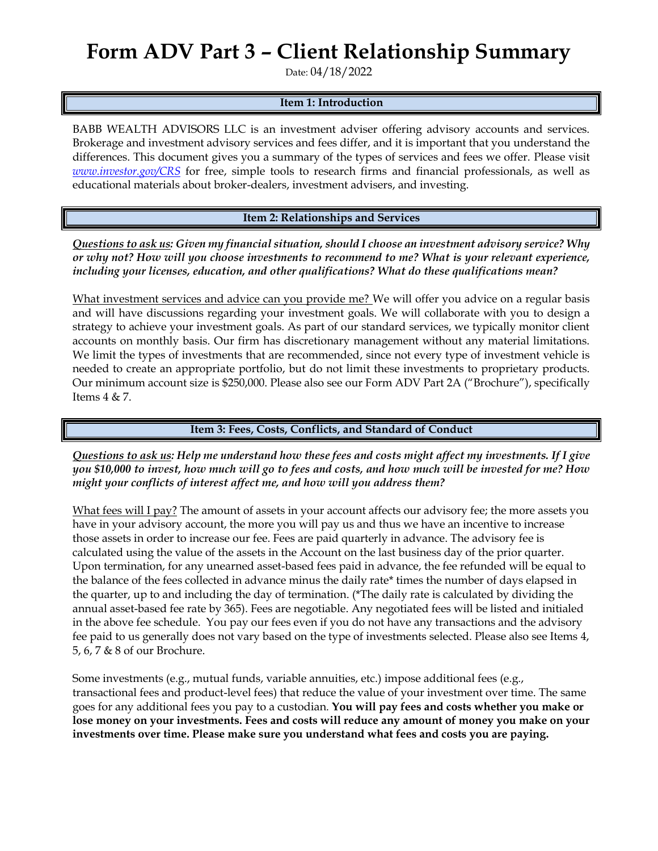## **Form ADV Part 3 – Client Relationship Summary**

Date: 04/18/2022

## **Item 1: Introduction**

BABB WEALTH ADVISORS LLC is an investment adviser offering advisory accounts and services. Brokerage and investment advisory services and fees differ, and it is important that you understand the differences. This document gives you a summary of the types of services and fees we offer. Please visit *[www.investor.gov/CRS](http://www.investor.gov/CRS)* for free, simple tools to research firms and financial professionals, as well as educational materials about broker-dealers, investment advisers, and investing.

**Item 2: Relationships and Services**

*Questions to ask us: Given my financial situation, should I choose an investment advisory service? Why or why not? How will you choose investments to recommend to me? What is your relevant experience, including your licenses, education, and other qualifications? What do these qualifications mean?*

What investment services and advice can you provide me? We will offer you advice on a regular basis and will have discussions regarding your investment goals. We will collaborate with you to design a strategy to achieve your investment goals. As part of our standard services, we typically monitor client accounts on monthly basis. Our firm has discretionary management without any material limitations. We limit the types of investments that are recommended, since not every type of investment vehicle is needed to create an appropriate portfolio, but do not limit these investments to proprietary products. Our minimum account size is \$250,000. Please also see our Form ADV Part 2A ("Brochure"), specifically Items 4 & 7.

## **Item 3: Fees, Costs, Conflicts, and Standard of Conduct**

*Questions to ask us: Help me understand how these fees and costs might affect my investments. If I give you \$10,000 to invest, how much will go to fees and costs, and how much will be invested for me? How might your conflicts of interest affect me, and how will you address them?* 

What fees will I pay? The amount of assets in your account affects our advisory fee; the more assets you have in your advisory account, the more you will pay us and thus we have an incentive to increase those assets in order to increase our fee. Fees are paid quarterly in advance. The advisory fee is calculated using the value of the assets in the Account on the last business day of the prior quarter. Upon termination, for any unearned asset-based fees paid in advance, the fee refunded will be equal to the balance of the fees collected in advance minus the daily rate\* times the number of days elapsed in the quarter, up to and including the day of termination. (\*The daily rate is calculated by dividing the annual asset-based fee rate by 365). Fees are negotiable. Any negotiated fees will be listed and initialed in the above fee schedule. You pay our fees even if you do not have any transactions and the advisory fee paid to us generally does not vary based on the type of investments selected. Please also see Items 4, 5, 6, 7 & 8 of our Brochure.

Some investments (e.g., mutual funds, variable annuities, etc.) impose additional fees (e.g., transactional fees and product-level fees) that reduce the value of your investment over time. The same goes for any additional fees you pay to a custodian*.* **You will pay fees and costs whether you make or lose money on your investments. Fees and costs will reduce any amount of money you make on your investments over time. Please make sure you understand what fees and costs you are paying.**